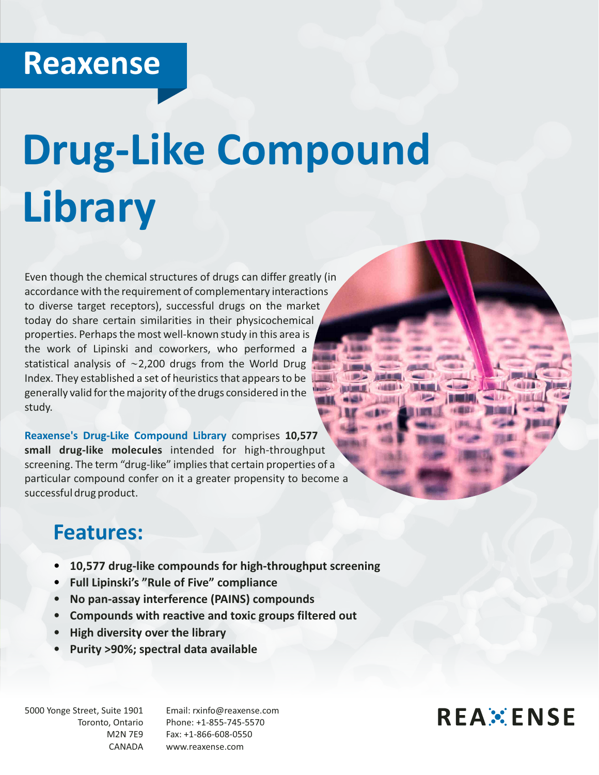## **Reaxense**

# **Drug-Like Compound Library**

Even though the chemical structures of drugs can differ greatly (in accordance with the requirement of complementary interactions to diverse target receptors), successful drugs on the market today do share certain similarities in their physicochemical properties. Perhaps the most well-known study in this area is the work of Lipinski and coworkers, who performed a statistical analysis of  $\sim$ 2,200 drugs from the World Drug Index. They established a set of heuristics that appears to be generally valid for the majority of the drugs considered in the study.

**Reaxense's Drug-Like Compound Library** comprises **10,577 small drug-like molecules** intended for high-throughput screening. The term "drug-like" implies that certain properties of a particular compound confer on it a greater propensity to become a successful drug product.

#### **Features:**

- џ **10,577 drug-like compounds for high-throughput screening**
- џ **Full Lipinski's "Rule of Five" compliance**
- џ **No pan-assay interference (PAINS) compounds**
- џ **Compounds with reactive and toxic groups filtered out**
- џ **High diversity over the library**
- џ **Purity >90%; spectral data available**

5000 Yonge Street, Suite 1901 Toronto, Ontario M2N 7E9 CANADA

Email: rxinfo@reaxense.com Phone: +1-855-745-5570 Fax: +1-866-608-0550 www.reaxense.com

### **REAXENSE**